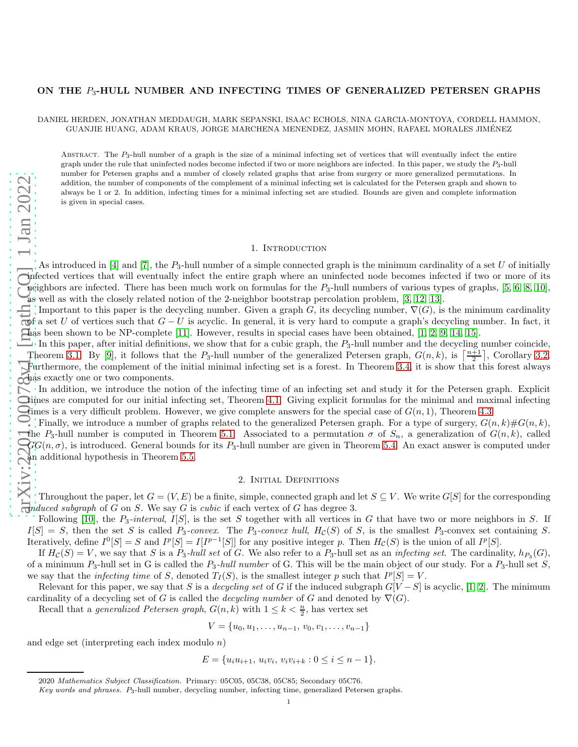## ON THE  $P_3$ -HULL NUMBER AND INFECTING TIMES OF GENERALIZED PETERSEN GRAPHS

DANIEL HERDEN, JONATHAN MEDDAUGH, MARK SEPANSKI, ISAAC ECHOLS, NINA GARCIA-MONTOYA, CORDELL HAMMON, GUANJIE HUANG, ADAM KRAUS, JORGE MARCHENA MENENDEZ, JASMIN MOHN, RAFAEL MORALES JIMENEZ ´

ABSTRACT. The  $P_3$ -hull number of a graph is the size of a minimal infecting set of vertices that will eventually infect the entire graph under the rule that uninfected nodes become infected if two or more neighbors are infected. In this paper, we study the  $P_3$ -hull number for Petersen graphs and a number of closely related graphs that arise from surgery or more generalized permutations. In addition, the number of components of the complement of a minimal infecting set is calculated for the Petersen graph and shown to always be 1 or 2. In addition, infecting times for a minimal infecting set are studied. Bounds are given and complete information is given in special cases.

# 1. INTRODUCTION

As introduced in [\[4\]](#page-7-0) and [\[7\]](#page-7-1), the  $P_3$ -hull number of a simple connected graph is the minimum cardinality of a set U of initially infected vertices that will eventually infect the entire graph where an uninfected node becomes infected if two or more of its neighbors are infected. There has been much work on formulas for the  $P_3$ -hull numbers of various types of graphs, [\[5,](#page-7-2) [6,](#page-7-3) [8,](#page-7-4) [10\]](#page-7-5), as well as with the closely related notion of the 2-neighbor bootstrap percolation problem, [\[3,](#page-7-6) [12,](#page-7-7) [13\]](#page-7-8).

Important to this paper is the decycling number. Given a graph G, its decycling number,  $\nabla(G)$ , is the minimum cardinality  $\mathfrak{g}$ f a set U of vertices such that  $G-U$  is acyclic. In general, it is very hard to compute a graph's decycling number. In fact, it has been shown to be NP-complete [\[11\]](#page-7-9). However, results in special cases have been obtained, [\[1,](#page-7-10) [2,](#page-7-11) [9,](#page-7-12) [14,](#page-7-13) [15\]](#page-7-14).

In this paper, after initial definitions, we show that for a cubic graph, the  $P_3$ -hull number and the decycling number coincide, Theorem [3.1.](#page-1-0) By [\[9\]](#page-7-12), it follows that the  $P_3$ -hull number of the generalized Petersen graph,  $G(n, k)$ , is  $\left\lceil \frac{n+1}{2} \right\rceil$ , Corollary [3.2.](#page-1-1) Furthermore, the complement of the initial minimal infecting set is a forest. In Theorem [3.4,](#page-2-0) it is show that this forest always has exactly one or two components.

In addition, we introduce the notion of the infecting time of an infecting set and study it for the Petersen graph. Explicit  $\bullet$  imes are computed for our initial infecting set, Theorem [4.1.](#page-2-1) Giving explicit formulas for the minimal and maximal infecting The set is a very difficult problem. However, we give complete answers for the special case of  $G(n, 1)$ , Theorem [4.3.](#page-3-0)

Finally, we introduce a number of graphs related to the generalized Petersen graph. For a type of surgery,  $G(n, k) \# G(n, k)$ , the P<sub>3</sub>-hull number is computed in Theorem [5.1.](#page-5-0) Associated to a permutation  $\sigma$  of  $S_n$ , a generalization of  $G(n, k)$ , called  $GG(n, \sigma)$ , is introduced. General bounds for its  $P_3$ -hull number are given in Theorem [5.4.](#page-6-0) An exact answer is computed under an additional hypothesis in Theorem [5.5.](#page-7-15)

# 2. Initial Definitions

Throughout the paper, let  $G = (V, E)$  be a finite, simple, connected graph and let  $S \subseteq V$ . We write  $G[S]$  for the corresponding  $\overline{c}$ *induced subgraph* of G on S. We say G is *cubic* if each vertex of G has degree 3.

Following [\[10\]](#page-7-5), the  $P_3$ -interval,  $I[S]$ , is the set S together with all vertices in G that have two or more neighbors in S. If  $I[S] = S$ , then the set S is called P<sub>3</sub>-convex. The P<sub>3</sub>-convex hull, H<sub>C</sub>(S) of S, is the smallest P<sub>3</sub>-convex set containing S. Iteratively, define  $I^0[S] = S$  and  $I^p[S] = I[I^{p-1}[S]]$  for any positive integer p. Then  $H_c(S)$  is the union of all  $I^p[S]$ .

If  $H_{\mathcal{C}}(S) = V$ , we say that S is a  $P_3$ -hull set of G. We also refer to a  $P_3$ -hull set as an *infecting set*. The cardinality,  $h_{P_3}(G)$ , of a minimum  $P_3$ -hull set in G is called the  $P_3$ -hull number of G. This will be the main object of our study. For a  $P_3$ -hull set S, we say that the *infecting time* of S, denoted  $T_I(S)$ , is the smallest integer p such that  $I^p[S] = V$ .

Relevant for this paper, we say that S is a *decycling set* of G if the induced subgraph  $G[V-S]$  is acyclic, [\[1,](#page-7-10) [2\]](#page-7-11). The minimum cardinality of a decycling set of G is called the *decycling number* of G and denoted by  $\nabla$ (G).

Recall that a *generalized Petersen graph*,  $G(n, k)$  with  $1 \leq k < \frac{n}{2}$ , has vertex set

$$
V = \{u_0, u_1, \ldots, u_{n-1}, v_0, v_1, \ldots, v_{n-1}\}
$$

and edge set (interpreting each index modulo  $n$ )

$$
E = \{u_i u_{i+1}, u_i v_i, v_i v_{i+k} : 0 \le i \le n-1\}.
$$

<sup>2020</sup> Mathematics Subject Classification. Primary: 05C05, 05C38, 05C85; Secondary 05C76.

Key words and phrases. P3-hull number, decycling number, infecting time, generalized Petersen graphs.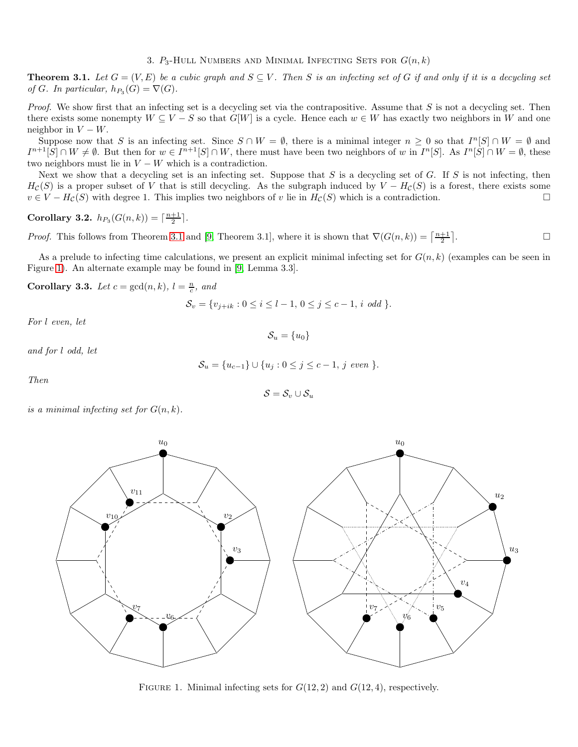3.  $P_3$ -Hull Numbers and Minimal Infecting Sets for  $G(n, k)$ 

<span id="page-1-0"></span>**Theorem 3.1.** Let  $G = (V, E)$  be a cubic graph and  $S \subseteq V$ . Then S is an infecting set of G if and only if it is a decycling set of G. In particular,  $h_{P_3}(G) = \nabla(G)$ .

Proof. We show first that an infecting set is a decycling set via the contrapositive. Assume that S is not a decycling set. Then there exists some nonempty  $W \subseteq V - S$  so that  $G[W]$  is a cycle. Hence each  $w \in W$  has exactly two neighbors in W and one neighbor in  $V - W$ .

Suppose now that S is an infecting set. Since  $S \cap W = \emptyset$ , there is a minimal integer  $n \geq 0$  so that  $I^{n}[S] \cap W = \emptyset$  and  $I^{n+1}[S] \cap W \neq \emptyset$ . But then for  $w \in I^{n+1}[S] \cap W$ , there must have been two neighbors of w in  $I^n[S]$ . As  $I^n[S] \cap W = \emptyset$ , these two neighbors must lie in  $V - W$  which is a contradiction.

Next we show that a decycling set is an infecting set. Suppose that  $S$  is a decycling set of  $G$ . If  $S$  is not infecting, then  $H_c(S)$  is a proper subset of V that is still decycling. As the subgraph induced by  $V - H_c(S)$  is a forest, there exists some  $v \in V - H_{\mathcal{C}}(S)$  with degree 1. This implies two neighbors of v lie in  $H_{\mathcal{C}}(S)$  which is a contradiction.

<span id="page-1-1"></span>Corollary 3.2.  $h_{P_3}(G(n, k)) = \lceil \frac{n+1}{2} \rceil$ .

*Proof.* This follows from Theorem [3.1](#page-1-0) and [\[9,](#page-7-12) Theorem 3.1], where it is shown that  $\nabla(G(n,k)) = \left\lceil \frac{n+1}{2} \right\rceil$ . — Профессор — Профессор — Профессор — Профессор — Профессор — Профессор — Профессор — Профессор — Профессор <br>В профессор — Профессор — Профессор — Профессор — Профессор — Профессор — Профессор — Профессор — Профессор —

As a prelude to infecting time calculations, we present an explicit minimal infecting set for  $G(n, k)$  (examples can be seen in Figure [1\)](#page-1-2). An alternate example may be found in [\[9,](#page-7-12) Lemma 3.3].

<span id="page-1-3"></span>Corollary 3.3. Let  $c = \gcd(n, k)$ ,  $l = \frac{n}{c}$ , and

$$
\mathcal{S}_v = \{v_{j+ik} : 0 \le i \le l-1, 0 \le j \le c-1, i \text{ odd }\}.
$$

For l even, let

 $\mathcal{S}_u = \{u_0\}$ 

and for l odd, let

$$
S_u = \{u_{c-1}\} \cup \{u_j : 0 \le j \le c-1, j \text{ even }\}
$$

Then

$$
\mathcal{S} = \mathcal{S}_v \cup \mathcal{S}_u
$$

is a minimal infecting set for  $G(n, k)$ .



<span id="page-1-2"></span>FIGURE 1. Minimal infecting sets for  $G(12, 2)$  and  $G(12, 4)$ , respectively.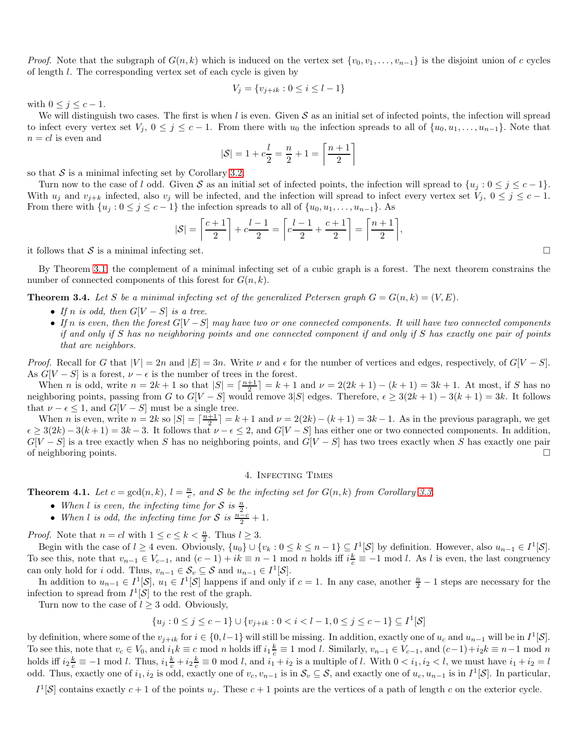*Proof.* Note that the subgraph of  $G(n, k)$  which is induced on the vertex set  $\{v_0, v_1, \ldots, v_{n-1}\}$  is the disjoint union of c cycles of length l. The corresponding vertex set of each cycle is given by

$$
V_j = \{v_{j+ik} : 0 \le i \le l-1\}
$$

with  $0 \leq j \leq c-1$ .

We will distinguish two cases. The first is when  $l$  is even. Given  $S$  as an initial set of infected points, the infection will spread to infect every vertex set  $V_j$ ,  $0 \leq j \leq c-1$ . From there with  $u_0$  the infection spreads to all of  $\{u_0, u_1, \ldots, u_{n-1}\}$ . Note that  $n = cl$  is even and

$$
|\mathcal{S}| = 1 + c\frac{l}{2} = \frac{n}{2} + 1 = \left\lceil \frac{n+1}{2} \right\rceil
$$

so that  $S$  is a minimal infecting set by Corollary [3.2.](#page-1-1)

Turn now to the case of l odd. Given S as an initial set of infected points, the infection will spread to  $\{u_j : 0 \le j \le c - 1\}$ . With  $u_j$  and  $v_{j+k}$  infected, also  $v_j$  will be infected, and the infection will spread to infect every vertex set  $V_j$ ,  $0 \le j \le c-1$ . From there with  $\{u_j : 0 \le j \le c-1\}$  the infection spreads to all of  $\{u_0, u_1, \ldots, u_{n-1}\}$ . As

$$
|\mathcal{S}| = \left\lceil \frac{c+1}{2} \right\rceil + c\frac{l-1}{2} = \left\lceil c\frac{l-1}{2} + \frac{c+1}{2} \right\rceil = \left\lceil \frac{n+1}{2} \right\rceil,
$$

it follows that S is a minimal infecting set.

By Theorem [3.1,](#page-1-0) the complement of a minimal infecting set of a cubic graph is a forest. The next theorem constrains the number of connected components of this forest for  $G(n, k)$ .

<span id="page-2-0"></span>**Theorem 3.4.** Let S be a minimal infecting set of the generalized Petersen graph  $G = G(n, k) = (V, E)$ .

- If n is odd, then  $G[V-S]$  is a tree.
- If n is even, then the forest  $G[V-S]$  may have two or one connected components. It will have two connected components if and only if S has no neighboring points and one connected component if and only if S has exactly one pair of points that are neighbors.

*Proof.* Recall for G that  $|V| = 2n$  and  $|E| = 3n$ . Write  $\nu$  and  $\epsilon$  for the number of vertices and edges, respectively, of  $G[V - S]$ . As  $G[V-S]$  is a forest,  $\nu - \epsilon$  is the number of trees in the forest.

When *n* is odd, write  $n = 2k + 1$  so that  $|S| = \lceil \frac{n+1}{2} \rceil = k + 1$  and  $\nu = 2(2k + 1) - (k + 1) = 3k + 1$ . At most, if S has no neighboring points, passing from G to  $G[V-S]$  would remove 3|S| edges. Therefore,  $\epsilon \geq 3(2k+1) - 3(k+1) = 3k$ . It follows that  $\nu - \epsilon \leq 1$ , and  $G[V - S]$  must be a single tree.

When *n* is even, write  $n = 2k$  so  $|S| = \lceil \frac{n+1}{2} \rceil = k+1$  and  $\nu = 2(2k) - (k+1) = 3k-1$ . As in the previous paragraph, we get  $\epsilon \geq 3(2k) - 3(k+1) = 3k-3$ . It follows that  $\nu - \epsilon \leq 2$ , and  $G[V-S]$  has either one or two connected components. In addition,  $G[V-S]$  is a tree exactly when S has no neighboring points, and  $G[V-S]$  has two trees exactly when S has exactly one pair of neighboring points.

#### 4. Infecting Times

<span id="page-2-1"></span>**Theorem 4.1.** Let  $c = \gcd(n, k)$ ,  $l = \frac{n}{c}$ , and S be the infecting set for  $G(n, k)$  from Corollary [3.3.](#page-1-3)

- When l is even, the infecting time for S is  $\frac{n}{2}$ .
- When l is odd, the infecting time for S is  $\frac{n-c}{2} + 1$ .

*Proof.* Note that  $n = cl$  with  $1 \leq c \leq k < \frac{n}{2}$ . Thus  $l \geq 3$ .

Begin with the case of  $l \geq 4$  even. Obviously,  $\{u_0\} \cup \{v_k : 0 \leq k \leq n-1\} \subseteq I^1[\mathcal{S}]$  by definition. However, also  $u_{n-1} \in I^1[\mathcal{S}]$ . To see this, note that  $v_{n-1} \in V_{c-1}$ , and  $(c-1) + ik \equiv n-1 \mod n$  holds iff  $i\frac{k}{c} \equiv -1 \mod l$ . As l is even, the last congruency can only hold for *i* odd. Thus,  $v_{n-1} \in S_v \subseteq S$  and  $u_{n-1} \in I^1[S]$ .

In addition to  $u_{n-1} \in I^1[\mathcal{S}], u_1 \in I^1[\mathcal{S}]$  happens if and only if  $c = 1$ . In any case, another  $\frac{n}{2} - 1$  steps are necessary for the infection to spread from  $I^1[\mathcal{S}]$  to the rest of the graph.

Turn now to the case of  $l \geq 3$  odd. Obviously,

$$
\{u_j: 0 \le j \le c-1\} \cup \{v_{j+ik}: 0 < i < l-1, 0 \le j \le c-1\} \subseteq I^1[\mathcal{S}]
$$

by definition, where some of the  $v_{j+ik}$  for  $i \in \{0, l-1\}$  will still be missing. In addition, exactly one of  $u_c$  and  $u_{n-1}$  will be in  $I^1[\mathcal{S}]$ . To see this, note that  $v_c \in V_0$ , and  $i_1 k \equiv c \mod n$  holds iff  $i_1 \frac{k}{c} \equiv 1 \mod l$ . Similarly,  $v_{n-1} \in V_{c-1}$ , and  $(c-1)+i_2 k \equiv n-1 \mod n$ holds iff  $i_2 \frac{k}{c} \equiv -1 \mod l$ . Thus,  $i_1 \frac{k}{c} + i_2 \frac{k}{c} \equiv 0 \mod l$ , and  $i_1 + i_2$  is a multiple of l. With  $0 \lt i_1, i_2 \lt l$ , we must have  $i_1 + i_2 = l$ odd. Thus, exactly one of  $i_1, i_2$  is odd, exactly one of  $v_c, v_{n-1}$  is in  $\mathcal{S}_v \subseteq \mathcal{S}$ , and exactly one of  $u_c, u_{n-1}$  is in  $I^1[\mathcal{S}]$ . In particular,

 $I^1[\mathcal{S}]$  contains exactly  $c+1$  of the points  $u_j$ . These  $c+1$  points are the vertices of a path of length c on the exterior cycle.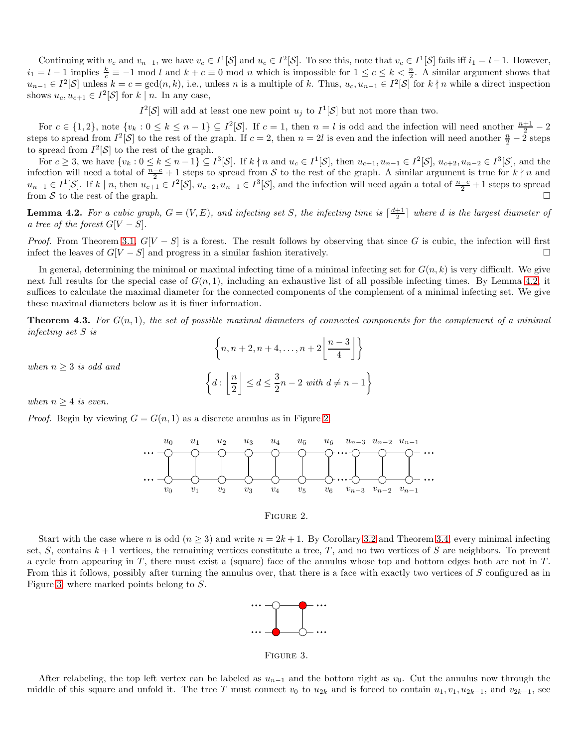Continuing with  $v_c$  and  $v_{n-1}$ , we have  $v_c \in I^1[\mathcal{S}]$  and  $u_c \in I^2[\mathcal{S}]$ . To see this, note that  $v_c \in I^1[\mathcal{S}]$  fails iff  $i_1 = l - 1$ . However,  $i_1 = l - 1$  implies  $\frac{k}{c} \equiv -1 \mod l$  and  $k + c \equiv 0 \mod n$  which is impossible for  $1 \le c \le k \le \frac{n}{2}$ . A similar argument shows that  $u_{n-1} \in I^2[\mathcal{S}]$  unless  $k = c = \gcd(n, k)$ , i.e., unless n is a multiple of k. Thus,  $u_c, u_{n-1} \in I^2[\mathcal{S}]$  for  $k \nmid n$  while a direct inspection shows  $u_c, u_{c+1} \in I^2[\mathcal{S}]$  for  $k \mid n$ . In any case,

 $I^2[\mathcal{S}]$  will add at least one new point  $u_j$  to  $I^1[\mathcal{S}]$  but not more than two.

For  $c \in \{1,2\}$ , note  $\{v_k : 0 \le k \le n-1\} \subseteq I^2[\mathcal{S}]$ . If  $c=1$ , then  $n=l$  is odd and the infection will need another  $\frac{n+1}{2}-2$ steps to spread from  $I^2[\mathcal{S}]$  to the rest of the graph. If  $c=2$ , then  $n=2l$  is even and the infection will need another  $\frac{n}{2}-2$  steps to spread from  $I^2[\mathcal{S}]$  to the rest of the graph.

For  $c \geq 3$ , we have  $\{v_k : 0 \leq k \leq n-1\} \subseteq I^3[\mathcal{S}]$ . If  $k \nmid n$  and  $u_c \in I^1[\mathcal{S}]$ , then  $u_{c+1}, u_{n-1} \in I^2[\mathcal{S}]$ ,  $u_{c+2}, u_{n-2} \in I^3[\mathcal{S}]$ , and the infection will need a total of  $\frac{n-c}{2}+1$  steps to spread from S to the rest of the graph. A similar argument is true for  $k \nmid n$  and  $u_{n-1} \in I^1[\mathcal{S}]$ . If k | n, then  $u_{c+1} \in I^2[\mathcal{S}], u_{c+2}, u_{n-1} \in I^3[\mathcal{S}]$ , and the infection will need again a total of  $\frac{n-c}{2}+1$  steps to spread from S to the rest of the graph.

<span id="page-3-1"></span>**Lemma 4.2.** For a cubic graph,  $G = (V, E)$ , and infecting set S, the infecting time is  $\lceil \frac{d+1}{2} \rceil$  where d is the largest diameter of a tree of the forest  $G[V-S]$ .

*Proof.* From Theorem [3.1,](#page-1-0)  $G[V - S]$  is a forest. The result follows by observing that since G is cubic, the infection will first infect the leaves of  $G[V-S]$  and progress in a similar fashion iteratively.

In general, determining the minimal or maximal infecting time of a minimal infecting set for  $G(n, k)$  is very difficult. We give next full results for the special case of  $G(n, 1)$ , including an exhaustive list of all possible infecting times. By Lemma [4.2,](#page-3-1) it suffices to calculate the maximal diameter for the connected components of the complement of a minimal infecting set. We give these maximal diameters below as it is finer information.

<span id="page-3-0"></span>**Theorem 4.3.** For  $G(n,1)$ , the set of possible maximal diameters of connected components for the complement of a minimal infecting set S is

$$
\left\{n, n+2, n+4, \dots, n+2\left\lfloor\frac{n-3}{4}\right\rfloor\right\}
$$

$$
d: \left\lfloor\frac{n}{2}\right\rfloor \le d \le \frac{3}{2}n-2 \text{ with } d \ne n-1
$$

when  $n \geq 3$  is odd and

when  $n \geq 4$  is even.

*Proof.* Begin by viewing  $G = G(n, 1)$  as a discrete annulus as in Figure [2.](#page-3-2)

 $\int$ 



### <span id="page-3-2"></span>FIGURE 2.

Start with the case where n is odd  $(n \geq 3)$  and write  $n = 2k + 1$ . By Corollary [3.2](#page-1-1) and Theorem [3.4,](#page-2-0) every minimal infecting set, S, contains  $k + 1$  vertices, the remaining vertices constitute a tree, T, and no two vertices of S are neighbors. To prevent a cycle from appearing in T, there must exist a (square) face of the annulus whose top and bottom edges both are not in  $T$ . From this it follows, possibly after turning the annulus over, that there is a face with exactly two vertices of S configured as in Figure [3,](#page-3-3) where marked points belong to S.



<span id="page-3-3"></span>Figure 3.

After relabeling, the top left vertex can be labeled as  $u_{n-1}$  and the bottom right as  $v_0$ . Cut the annulus now through the middle of this square and unfold it. The tree T must connect  $v_0$  to  $u_{2k}$  and is forced to contain  $u_1, v_1, u_{2k-1}$ , and  $v_{2k-1}$ , see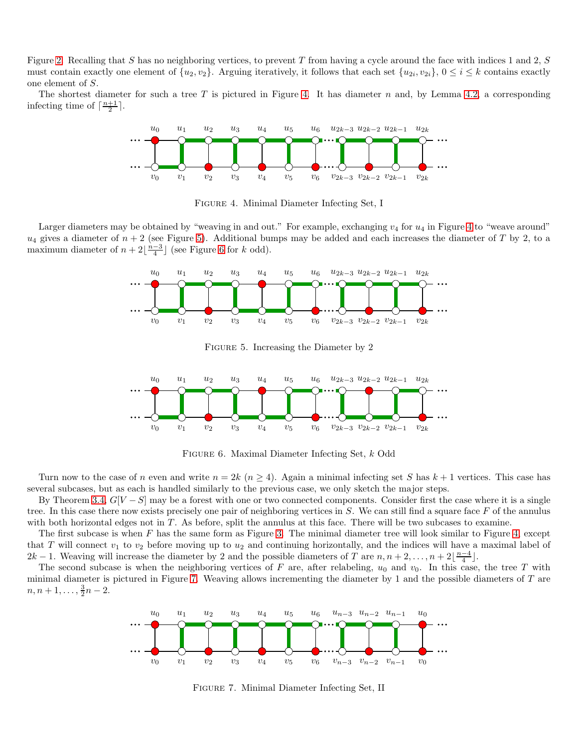Figure [2.](#page-3-2) Recalling that S has no neighboring vertices, to prevent T from having a cycle around the face with indices 1 and 2,  $S$ must contain exactly one element of  $\{u_2, v_2\}$ . Arguing iteratively, it follows that each set  $\{u_{2i}, v_{2i}\}$ ,  $0 \le i \le k$  contains exactly one element of S.

The shortest diameter for such a tree T is pictured in Figure [4.](#page-4-0) It has diameter n and, by Lemma [4.2,](#page-3-1) a corresponding infecting time of  $\lceil \frac{n+1}{2} \rceil$ .



<span id="page-4-0"></span>Figure 4. Minimal Diameter Infecting Set, I

Larger diameters may be obtained by "weaving in and out." For example, exchanging  $v_4$  for  $u_4$  in Figure [4](#page-4-0) to "weave around"  $u_4$  gives a diameter of  $n + 2$  (see Figure [5\)](#page-4-1). Additional bumps may be added and each increases the diameter of T by 2, to a maximum diameter of  $n+2\lfloor\frac{n-3}{4}\rfloor$  (see Figure [6](#page-4-2) for k odd).



<span id="page-4-1"></span>FIGURE 5. Increasing the Diameter by 2



<span id="page-4-2"></span>Figure 6. Maximal Diameter Infecting Set, k Odd

Turn now to the case of n even and write  $n = 2k$   $(n \ge 4)$ . Again a minimal infecting set S has  $k + 1$  vertices. This case has several subcases, but as each is handled similarly to the previous case, we only sketch the major steps.

By Theorem [3.4,](#page-2-0)  $G[V-S]$  may be a forest with one or two connected components. Consider first the case where it is a single tree. In this case there now exists precisely one pair of neighboring vertices in  $S$ . We can still find a square face  $F$  of the annulus with both horizontal edges not in  $T$ . As before, split the annulus at this face. There will be two subcases to examine.

The first subcase is when  $F$  has the same form as Figure [3.](#page-3-3) The minimal diameter tree will look similar to Figure [4,](#page-4-0) except that T will connect  $v_1$  to  $v_2$  before moving up to  $u_2$  and continuing horizontally, and the indices will have a maximal label of  $2k-1$ . Weaving will increase the diameter by 2 and the possible diameters of T are  $n, n+2, \ldots, n+2\lfloor\frac{n-4}{4}\rfloor$ .

The second subcase is when the neighboring vertices of F are, after relabeling,  $u_0$  and  $v_0$ . In this case, the tree T with minimal diameter is pictured in Figure [7.](#page-4-3) Weaving allows incrementing the diameter by 1 and the possible diameters of  $T$  are  $n, n+1, \ldots, \frac{3}{2}n-2.$ 



<span id="page-4-3"></span>Figure 7. Minimal Diameter Infecting Set, II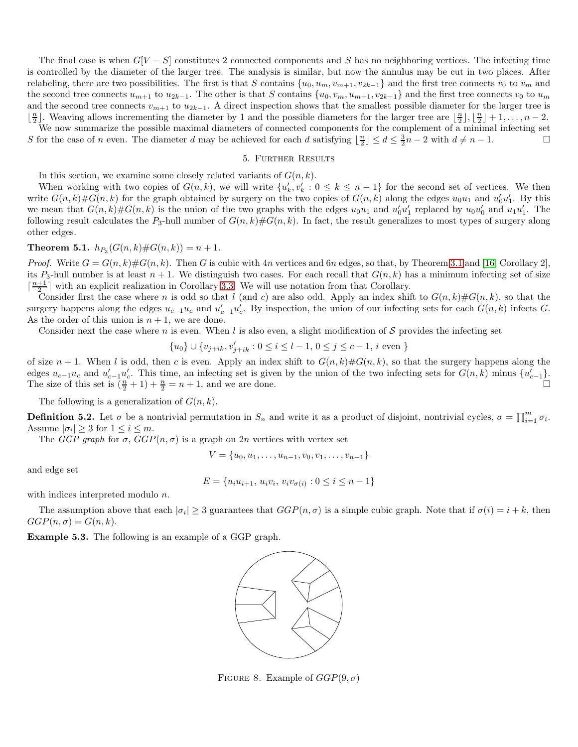The final case is when  $G[V - S]$  constitutes 2 connected components and S has no neighboring vertices. The infecting time is controlled by the diameter of the larger tree. The analysis is similar, but now the annulus may be cut in two places. After relabeling, there are two possibilities. The first is that S contains  $\{u_0, u_m, v_{m+1}, v_{2k-1}\}\$  and the first tree connects  $v_0$  to  $v_m$  and the second tree connects  $u_{m+1}$  to  $u_{2k-1}$ . The other is that S contains  $\{u_0, v_m, u_{m+1}, v_{2k-1}\}$  and the first tree connects  $v_0$  to  $u_m$ and the second tree connects  $v_{m+1}$  to  $u_{2k-1}$ . A direct inspection shows that the smallest possible diameter for the larger tree is  $\lfloor \frac{n}{2} \rfloor$ . Weaving allows incrementing the diameter by 1 and the possible diameters for the larger tree are  $\lfloor \frac{n}{2} \rfloor, \lfloor \frac{n}{2} \rfloor + 1, \ldots, n - 2$ .

We now summarize the possible maximal diameters of connected components for the complement of a minimal infecting set S for the case of n even. The diameter d may be achieved for each d satisfying  $\lfloor \frac{n}{2} \rfloor \leq d \leq \frac{3}{2}n - 2$  with  $d \neq n - 1$ .

# 5. Further Results

In this section, we examine some closely related variants of  $G(n, k)$ .

When working with two copies of  $G(n, k)$ , we will write  $\{u'_k, v'_k : 0 \le k \le n-1\}$  for the second set of vertices. We then write  $G(n,k)\#G(n,k)$  for the graph obtained by surgery on the two copies of  $G(n,k)$  along the edges  $u_0u_1$  and  $u'_0u'_1$ . By this we mean that  $G(n,k)\#G(n,k)$  is the union of the two graphs with the edges  $u_0u_1$  and  $u'_0u'_1$  replaced by  $u_0u'_0$  and  $u_1u'_1$ . The following result calculates the  $P_3$ -hull number of  $G(n, k) \# G(n, k)$ . In fact, the result generalizes to most types of surgery along other edges.

# <span id="page-5-0"></span>**Theorem 5.1.**  $h_{P_3}(G(n,k)\#G(n,k)) = n+1$ .

*Proof.* Write  $G = G(n, k) \# G(n, k)$ . Then G is cubic with 4n vertices and 6n edges, so that, by Theorem [3.1](#page-1-0) and [\[16,](#page-7-16) Corollary 2], its  $P_3$ -hull number is at least  $n + 1$ . We distinguish two cases. For each recall that  $G(n, k)$  has a minimum infecting set of size  $\lceil \frac{n+1}{2} \rceil$  with an explicit realization in Corollary [3.3.](#page-1-3) We will use notation from that Corollary.

Consider first the case where n is odd so that l (and c) are also odd. Apply an index shift to  $G(n, k) \# G(n, k)$ , so that the surgery happens along the edges  $u_{c-1}u_c$  and  $u'_{c-1}u'_{c}$ . By inspection, the union of our infecting sets for each  $G(n, k)$  infects G. As the order of this union is  $n + 1$ , we are done.

Consider next the case where n is even. When l is also even, a slight modification of  $S$  provides the infecting set

$$
\{u_0\} \cup \{v_{j+ik}, v'_{j+ik} : 0 \le i \le l-1, 0 \le j \le c-1, i \text{ even }\}
$$

of size  $n+1$ . When l is odd, then c is even. Apply an index shift to  $G(n,k)\#G(n,k)$ , so that the surgery happens along the edges  $u_{c-1}u_c$  and  $u'_{c-1}u'_{c}$ . This time, an infecting set is given by the union of the two infecting sets for  $G(n,k)$  minus  $\{u'_{c-1}\}$ . The size of this set is  $(\frac{n}{2} + 1) + \frac{n}{2} = n + 1$ , and we are done.

The following is a generalization of  $G(n, k)$ .

**Definition 5.2.** Let  $\sigma$  be a nontrivial permutation in  $S_n$  and write it as a product of disjoint, nontrivial cycles,  $\sigma = \prod_{i=1}^m \sigma_i$ . Assume  $|\sigma_i| \geq 3$  for  $1 \leq i \leq m$ .

The GGP graph for  $\sigma$ ,  $GGP(n, \sigma)$  is a graph on 2n vertices with vertex set

$$
V = \{u_0, u_1, \dots, u_{n-1}, v_0, v_1, \dots, v_{n-1}\}
$$

and edge set

$$
E = \{u_i u_{i+1}, u_i v_i, v_i v_{\sigma(i)} : 0 \le i \le n-1\}
$$

with indices interpreted modulo n.

The assumption above that each  $|\sigma_i| \geq 3$  guarantees that  $GGP(n, \sigma)$  is a simple cubic graph. Note that if  $\sigma(i) = i + k$ , then  $GGP(n, \sigma) = G(n, k).$ 

Example 5.3. The following is an example of a GGP graph.



<span id="page-5-1"></span>FIGURE 8. Example of  $GGP(9, \sigma)$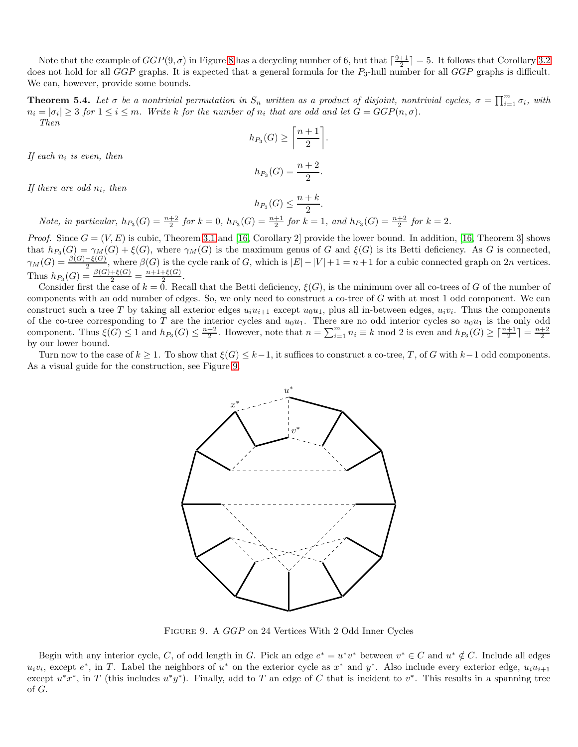Note that the example of  $GGP(9, \sigma)$  in Figure [8](#page-5-1) has a decycling number of 6, but that  $\lceil \frac{9+1}{2} \rceil = 5$ . It follows that Corollary [3.2](#page-1-1) does not hold for all  $GGP$  graphs. It is expected that a general formula for the  $P_3$ -hull number for all  $GGP$  graphs is difficult. We can, however, provide some bounds.

<span id="page-6-0"></span>**Theorem 5.4.** Let  $\sigma$  be a nontrivial permutation in  $S_n$  written as a product of disjoint, nontrivial cycles,  $\sigma = \prod_{i=1}^m \sigma_i$ , with  $n_i = |\sigma_i| \geq 3$  for  $1 \leq i \leq m$ . Write k for the number of  $n_i$  that are odd and let  $G = GGP(n, \sigma)$ . Then

$$
h_{P_3}(G) \ge \left\lceil \frac{n+1}{2} \right\rceil.
$$
  

$$
h_{P_3}(G) = \frac{n+2}{2}.
$$

If each  $n_i$  is even, then

If there are odd  $n_i$ , then

$$
h_{P_3}(G) \le \frac{n+k}{2}.
$$
  
Note, in particular,  $h_{P_3}(G) = \frac{n+2}{2}$  for  $k = 0$ ,  $h_{P_3}(G) = \frac{n+1}{2}$  for  $k = 1$ , and  $h_{P_3}(G) = \frac{n+2}{2}$  for  $k = 2$ .

*Proof.* Since  $G = (V, E)$  is cubic, Theorem [3.1](#page-1-0) and [\[16,](#page-7-16) Corollary 2] provide the lower bound. In addition, [16, Theorem 3] shows that  $h_{P_3}(G) = \gamma_M(G) + \xi(G)$ , where  $\gamma_M(G)$  is the maximum genus of G and  $\xi(G)$  is its Betti deficiency. As G is connected,  $\gamma_M(G) = \frac{\beta(G) - \xi(G)}{2}$ , where  $\beta(G)$  is the cycle rank of G, which is  $|E| - |V| + 1 = n + 1$  for a cubic connected graph on 2n vertices. Thus  $h_{P_3}(G) = \frac{\beta(G) + \xi(G)}{2} = \frac{n+1+\xi(G)}{2}$  $rac{+\xi(G)}{2}$ .

Consider first the case of  $k = 0$ . Recall that the Betti deficiency,  $\xi(G)$ , is the minimum over all co-trees of G of the number of components with an odd number of edges. So, we only need to construct a co-tree of G with at most 1 odd component. We can construct such a tree T by taking all exterior edges  $u_i u_{i+1}$  except  $u_0 u_1$ , plus all in-between edges,  $u_i v_i$ . Thus the components of the co-tree corresponding to T are the interior cycles and  $u_0u_1$ . There are no odd interior cycles so  $u_0u_1$  is the only odd component. Thus  $\xi(G) \leq 1$  and  $h_{P_3}(G) \leq \frac{n+2}{2}$ . However, note that  $n = \sum_{i=1}^m n_i \equiv k \mod 2$  is even and  $h_{P_3}(G) \geq \lceil \frac{n+1}{2} \rceil = \frac{n+2}{2}$ by our lower bound.

Turn now to the case of  $k \geq 1$ . To show that  $\xi(G) \leq k-1$ , it suffices to construct a co-tree, T, of G with  $k-1$  odd components. As a visual guide for the construction, see Figure [9.](#page-6-1)



<span id="page-6-1"></span>Figure 9. A GGP on 24 Vertices With 2 Odd Inner Cycles

Begin with any interior cycle, C, of odd length in G. Pick an edge  $e^* = u^*v^*$  between  $v^* \in C$  and  $u^* \notin C$ . Include all edges  $u_i v_i$ , except  $e^*$ , in T. Label the neighbors of  $u^*$  on the exterior cycle as  $x^*$  and  $y^*$ . Also include every exterior edge,  $u_i u_{i+1}$ except  $u^*x^*$ , in T (this includes  $u^*y^*$ ). Finally, add to T an edge of C that is incident to  $v^*$ . This results in a spanning tree of G.